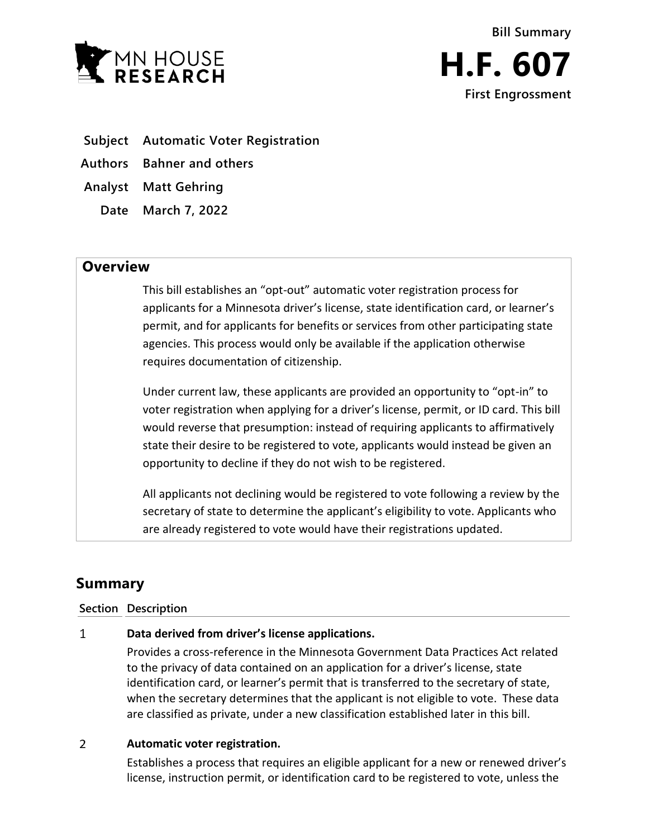



- **Subject Automatic Voter Registration**
- **Authors Bahner and others**
- **Analyst Matt Gehring**
	- **Date March 7, 2022**

## **Overview**

This bill establishes an "opt-out" automatic voter registration process for applicants for a Minnesota driver's license, state identification card, or learner's permit, and for applicants for benefits or services from other participating state agencies. This process would only be available if the application otherwise requires documentation of citizenship.

Under current law, these applicants are provided an opportunity to "opt-in" to voter registration when applying for a driver's license, permit, or ID card. This bill would reverse that presumption: instead of requiring applicants to affirmatively state their desire to be registered to vote, applicants would instead be given an opportunity to decline if they do not wish to be registered.

All applicants not declining would be registered to vote following a review by the secretary of state to determine the applicant's eligibility to vote. Applicants who are already registered to vote would have their registrations updated.

# **Summary**

### **Section Description**

#### $\mathbf{1}$ **Data derived from driver's license applications.**

Provides a cross-reference in the Minnesota Government Data Practices Act related to the privacy of data contained on an application for a driver's license, state identification card, or learner's permit that is transferred to the secretary of state, when the secretary determines that the applicant is not eligible to vote. These data are classified as private, under a new classification established later in this bill.

#### $\overline{2}$ **Automatic voter registration.**

Establishes a process that requires an eligible applicant for a new or renewed driver's license, instruction permit, or identification card to be registered to vote, unless the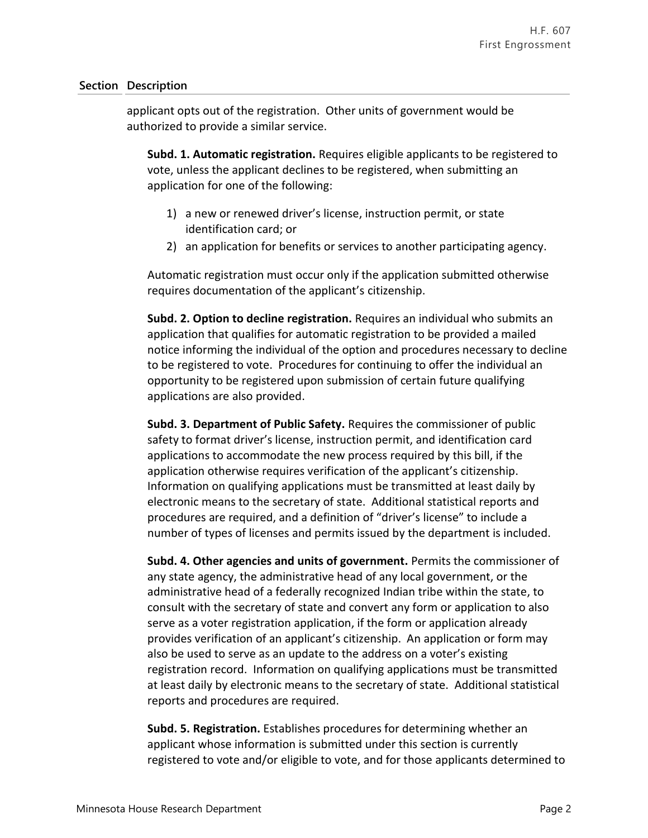### **Section Description**

applicant opts out of the registration. Other units of government would be authorized to provide a similar service.

**Subd. 1. Automatic registration.** Requires eligible applicants to be registered to vote, unless the applicant declines to be registered, when submitting an application for one of the following:

- 1) a new or renewed driver's license, instruction permit, or state identification card; or
- 2) an application for benefits or services to another participating agency.

Automatic registration must occur only if the application submitted otherwise requires documentation of the applicant's citizenship.

**Subd. 2. Option to decline registration.** Requires an individual who submits an application that qualifies for automatic registration to be provided a mailed notice informing the individual of the option and procedures necessary to decline to be registered to vote. Procedures for continuing to offer the individual an opportunity to be registered upon submission of certain future qualifying applications are also provided.

**Subd. 3. Department of Public Safety.** Requires the commissioner of public safety to format driver's license, instruction permit, and identification card applications to accommodate the new process required by this bill, if the application otherwise requires verification of the applicant's citizenship. Information on qualifying applications must be transmitted at least daily by electronic means to the secretary of state. Additional statistical reports and procedures are required, and a definition of "driver's license" to include a number of types of licenses and permits issued by the department is included.

**Subd. 4. Other agencies and units of government.** Permits the commissioner of any state agency, the administrative head of any local government, or the administrative head of a federally recognized Indian tribe within the state, to consult with the secretary of state and convert any form or application to also serve as a voter registration application, if the form or application already provides verification of an applicant's citizenship. An application or form may also be used to serve as an update to the address on a voter's existing registration record. Information on qualifying applications must be transmitted at least daily by electronic means to the secretary of state. Additional statistical reports and procedures are required.

**Subd. 5. Registration.** Establishes procedures for determining whether an applicant whose information is submitted under this section is currently registered to vote and/or eligible to vote, and for those applicants determined to